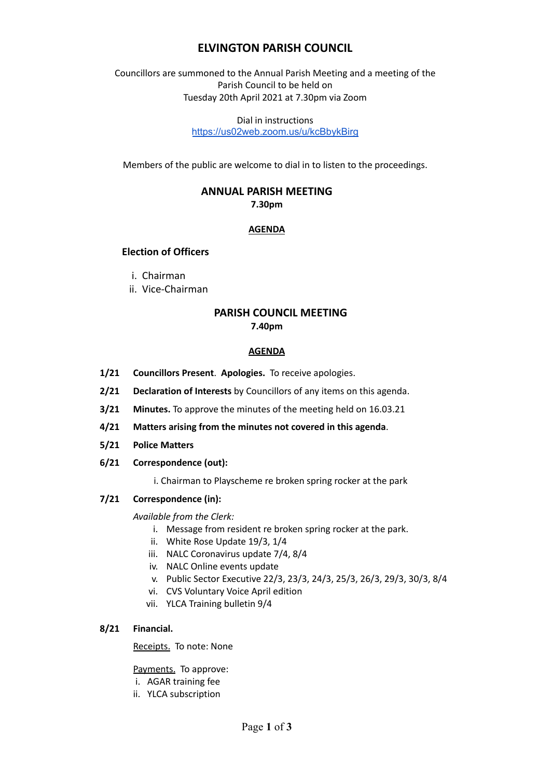## **ELVINGTON PARISH COUNCIL**

Councillors are summoned to the Annual Parish Meeting and a meeting of the Parish Council to be held on Tuesday 20th April 2021 at 7.30pm via Zoom

> Dial in instructions <https://us02web.zoom.us/u/kcBbykBirg>

Members of the public are welcome to dial in to listen to the proceedings.

# **ANNUAL PARISH MEETING**

**7.30pm**

### **AGENDA**

## **Election of Officers**

- i. Chairman
- ii. Vice-Chairman

## **PARISH COUNCIL MEETING 7.40pm**

#### **AGENDA**

- **1/21 Councillors Present**. **Apologies.** To receive apologies.
- **2/21 Declaration of Interests** by Councillors of any items on this agenda.
- **3/21 Minutes.** To approve the minutes of the meeting held on 16.03.21
- **4/21 Matters arising from the minutes not covered in this agenda**.
- **5/21 Police Matters**
- **6/21 Correspondence (out):**
	- i. Chairman to Playscheme re broken spring rocker at the park

#### **7/21 Correspondence (in):**

#### *Available from the Clerk:*

- i. Message from resident re broken spring rocker at the park.
- ii. White Rose Update 19/3, 1/4
- iii. NALC Coronavirus update 7/4, 8/4
- iv. NALC Online events update
- v. Public Sector Executive 22/3, 23/3, 24/3, 25/3, 26/3, 29/3, 30/3, 8/4
- vi. CVS Voluntary Voice April edition
- vii. YLCA Training bulletin 9/4

#### **8/21 Financial.**

#### Receipts. To note: None

Payments. To approve:

- i. AGAR training fee
- ii. YLCA subscription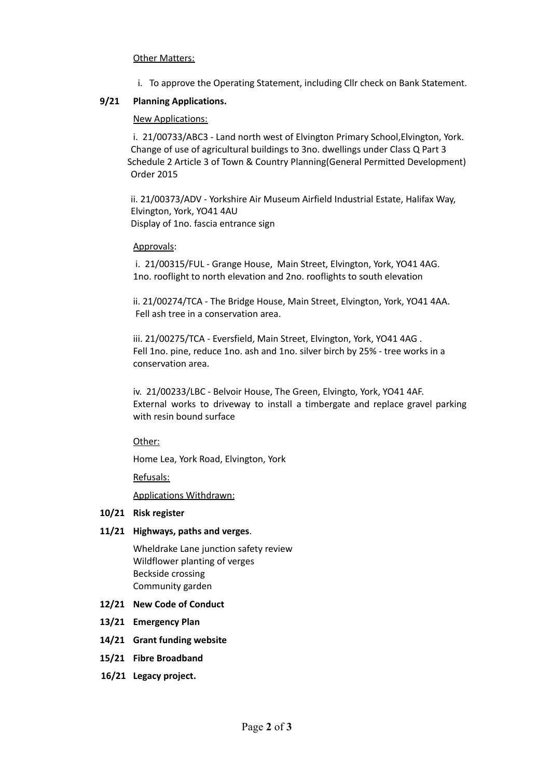#### Other Matters:

i. To approve the Operating Statement, including Cllr check on Bank Statement.

#### **9/21 Planning Applications.**

#### New Applications:

i. 21/00733/ABC3 - Land north west of Elvington Primary School,Elvington, York. Change of use of agricultural buildings to 3no. dwellings under Class Q Part 3 Schedule 2 Article 3 of Town & Country Planning(General Permitted Development) Order 2015

ii. 21/00373/ADV - Yorkshire Air Museum Airfield Industrial Estate, Halifax Way, Elvington, York, YO41 4AU Display of 1no. fascia entrance sign

#### Approvals:

i. 21/00315/FUL - Grange House, Main Street, Elvington, York, YO41 4AG. 1no. rooflight to north elevation and 2no. rooflights to south elevation

ii. 21/00274/TCA - The Bridge House, Main Street, Elvington, York, YO41 4AA. Fell ash tree in a conservation area.

iii. 21/00275/TCA - Eversfield, Main Street, Elvington, York, YO41 4AG . Fell 1no. pine, reduce 1no. ash and 1no. silver birch by 25% - tree works in a conservation area.

iv. 21/00233/LBC - Belvoir House, The Green, Elvingto, York, YO41 4AF. External works to driveway to install a timbergate and replace gravel parking with resin bound surface

Other:

Home Lea, York Road, Elvington, York

Refusals:

Applications Withdrawn:

#### **10/21 Risk register**

#### **11/21 Highways, paths and verges**.

Wheldrake Lane junction safety review Wildflower planting of verges Beckside crossing Community garden

#### **12/21 New Code of Conduct**

- **13/21 Emergency Plan**
- **14/21 Grant funding website**
- **15/21 Fibre Broadband**
- **16/21 Legacy project.**